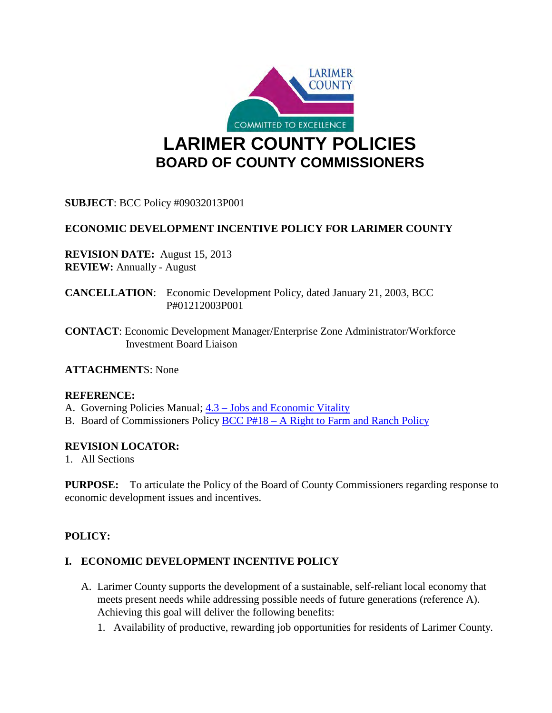

**SUBJECT**: BCC Policy #09032013P001

# **ECONOMIC DEVELOPMENT INCENTIVE POLICY FOR LARIMER COUNTY**

**REVISION DATE:** August 15, 2013 **REVIEW:** Annually - August

**CANCELLATION**: Economic Development Policy, dated January 21, 2003, BCC P#01212003P001

**CONTACT**: Economic Development Manager/Enterprise Zone Administrator/Workforce Investment Board Liaison

**ATTACHMENT**S: None

### **REFERENCE:**

A. Governing Policies Manual;  $4.3 - Jobs$  and Economic Vitality

B. Board of Commissioners Policy [BCC P#18 – A Right to Farm and Ranch Policy](https://www.larimer.org/sites/default/files/rights-to-farm.pdf)

### **REVISION LOCATOR:**

1. All Sections

**PURPOSE:** To articulate the Policy of the Board of County Commissioners regarding response to economic development issues and incentives.

### **POLICY:**

### **I. ECONOMIC DEVELOPMENT INCENTIVE POLICY**

- A. Larimer County supports the development of a sustainable, self-reliant local economy that meets present needs while addressing possible needs of future generations (reference A). Achieving this goal will deliver the following benefits:
	- 1. Availability of productive, rewarding job opportunities for residents of Larimer County.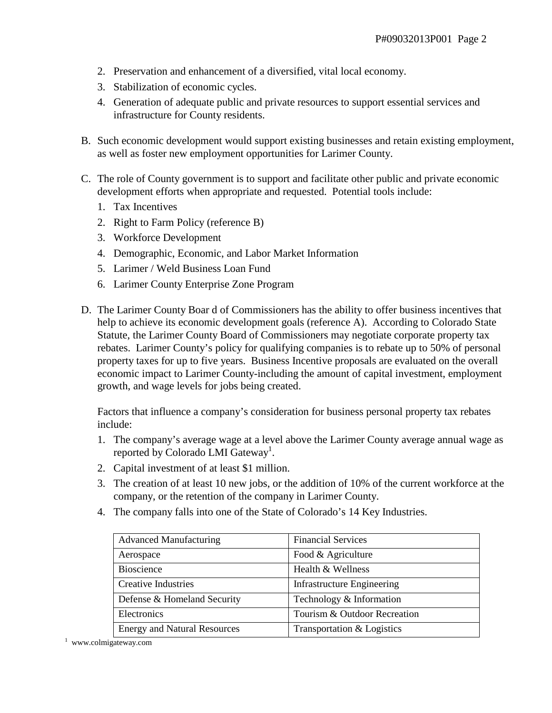- 2. Preservation and enhancement of a diversified, vital local economy.
- 3. Stabilization of economic cycles.
- 4. Generation of adequate public and private resources to support essential services and infrastructure for County residents.
- B. Such economic development would support existing businesses and retain existing employment, as well as foster new employment opportunities for Larimer County.
- C. The role of County government is to support and facilitate other public and private economic development efforts when appropriate and requested. Potential tools include:
	- 1. Tax Incentives
	- 2. Right to Farm Policy (reference B)
	- 3. Workforce Development
	- 4. Demographic, Economic, and Labor Market Information
	- 5. Larimer / Weld Business Loan Fund
	- 6. Larimer County Enterprise Zone Program
- D. The Larimer County Boar d of Commissioners has the ability to offer business incentives that help to achieve its economic development goals (reference A). According to Colorado State Statute, the Larimer County Board of Commissioners may negotiate corporate property tax rebates. Larimer County's policy for qualifying companies is to rebate up to 50% of personal property taxes for up to five years. Business Incentive proposals are evaluated on the overall economic impact to Larimer County-including the amount of capital investment, employment growth, and wage levels for jobs being created.

Factors that influence a company's consideration for business personal property tax rebates include:

- 1. The company's average wage at a level above the Larimer County average annual wage as reported by Colorado LMI Gateway<sup>1</sup>.
- 2. Capital investment of at least \$1 million.
- 3. The creation of at least 10 new jobs, or the addition of 10% of the current workforce at the company, or the retention of the company in Larimer County.
- 4. The company falls into one of the State of Colorado's 14 Key Industries.

| <b>Advanced Manufacturing</b>       | <b>Financial Services</b>         |
|-------------------------------------|-----------------------------------|
| Aerospace                           | Food & Agriculture                |
| <b>Bioscience</b>                   | Health & Wellness                 |
| <b>Creative Industries</b>          | <b>Infrastructure Engineering</b> |
| Defense & Homeland Security         | Technology & Information          |
| Electronics                         | Tourism & Outdoor Recreation      |
| <b>Energy and Natural Resources</b> | Transportation & Logistics        |

<sup>1</sup> www.colmigateway.com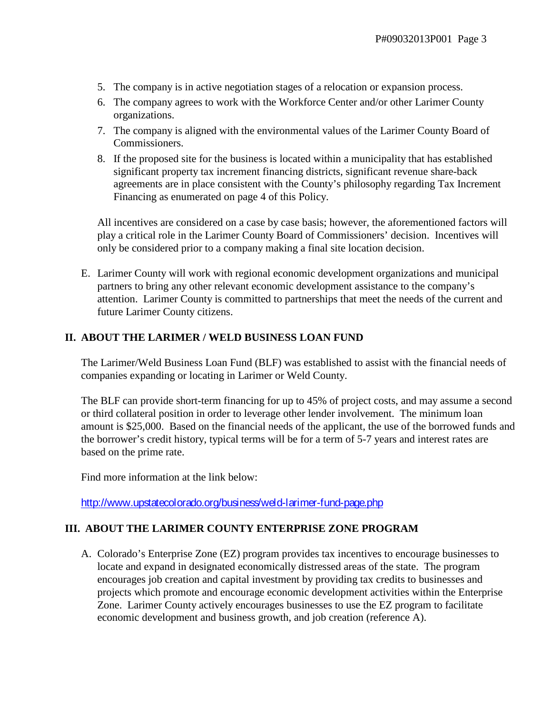- 5. The company is in active negotiation stages of a relocation or expansion process.
- 6. The company agrees to work with the Workforce Center and/or other Larimer County organizations.
- 7. The company is aligned with the environmental values of the Larimer County Board of Commissioners.
- 8. If the proposed site for the business is located within a municipality that has established significant property tax increment financing districts, significant revenue share-back agreements are in place consistent with the County's philosophy regarding Tax Increment Financing as enumerated on page 4 of this Policy.

All incentives are considered on a case by case basis; however, the aforementioned factors will play a critical role in the Larimer County Board of Commissioners' decision. Incentives will only be considered prior to a company making a final site location decision.

E. Larimer County will work with regional economic development organizations and municipal partners to bring any other relevant economic development assistance to the company's attention. Larimer County is committed to partnerships that meet the needs of the current and future Larimer County citizens.

### **II. ABOUT THE LARIMER / WELD BUSINESS LOAN FUND**

The Larimer/Weld Business Loan Fund (BLF) was established to assist with the financial needs of companies expanding or locating in Larimer or Weld County.

The BLF can provide short-term financing for up to 45% of project costs, and may assume a second or third collateral position in order to leverage other lender involvement. The minimum loan amount is \$25,000. Based on the financial needs of the applicant, the use of the borrowed funds and the borrower's credit history, typical terms will be for a term of 5-7 years and interest rates are based on the prime rate.

Find more information at the link below:

<http://www.upstatecolorado.org/business/weld-larimer-fund-page.php>

### **III. ABOUT THE LARIMER COUNTY ENTERPRISE ZONE PROGRAM**

A. Colorado's Enterprise Zone (EZ) program provides tax incentives to encourage businesses to locate and expand in designated economically distressed areas of the state. The program encourages job creation and capital investment by providing tax credits to businesses and projects which promote and encourage economic development activities within the Enterprise Zone. Larimer County actively encourages businesses to use the EZ program to facilitate economic development and business growth, and job creation (reference A).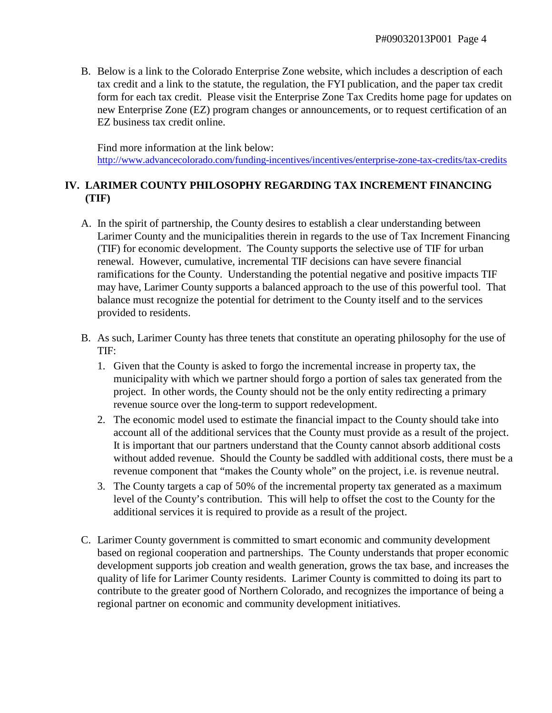B. Below is a link to the Colorado Enterprise Zone website, which includes a description of each tax credit and a link to the statute, the regulation, the FYI publication, and the paper tax credit form for each tax credit. Please visit the Enterprise Zone Tax Credits home page for updates on new Enterprise Zone (EZ) program changes or announcements, or to request certification of an EZ business tax credit online.

Find more information at the link below: <http://www.advancecolorado.com/funding-incentives/incentives/enterprise-zone-tax-credits/tax-credits>

## **IV. LARIMER COUNTY PHILOSOPHY REGARDING TAX INCREMENT FINANCING (TIF)**

- A. In the spirit of partnership, the County desires to establish a clear understanding between Larimer County and the municipalities therein in regards to the use of Tax Increment Financing (TIF) for economic development. The County supports the selective use of TIF for urban renewal. However, cumulative, incremental TIF decisions can have severe financial ramifications for the County. Understanding the potential negative and positive impacts TIF may have, Larimer County supports a balanced approach to the use of this powerful tool. That balance must recognize the potential for detriment to the County itself and to the services provided to residents.
- B. As such, Larimer County has three tenets that constitute an operating philosophy for the use of TIF:
	- 1. Given that the County is asked to forgo the incremental increase in property tax, the municipality with which we partner should forgo a portion of sales tax generated from the project. In other words, the County should not be the only entity redirecting a primary revenue source over the long-term to support redevelopment.
	- 2. The economic model used to estimate the financial impact to the County should take into account all of the additional services that the County must provide as a result of the project. It is important that our partners understand that the County cannot absorb additional costs without added revenue. Should the County be saddled with additional costs, there must be a revenue component that "makes the County whole" on the project, i.e. is revenue neutral.
	- 3. The County targets a cap of 50% of the incremental property tax generated as a maximum level of the County's contribution. This will help to offset the cost to the County for the additional services it is required to provide as a result of the project.
- C. Larimer County government is committed to smart economic and community development based on regional cooperation and partnerships. The County understands that proper economic development supports job creation and wealth generation, grows the tax base, and increases the quality of life for Larimer County residents. Larimer County is committed to doing its part to contribute to the greater good of Northern Colorado, and recognizes the importance of being a regional partner on economic and community development initiatives.